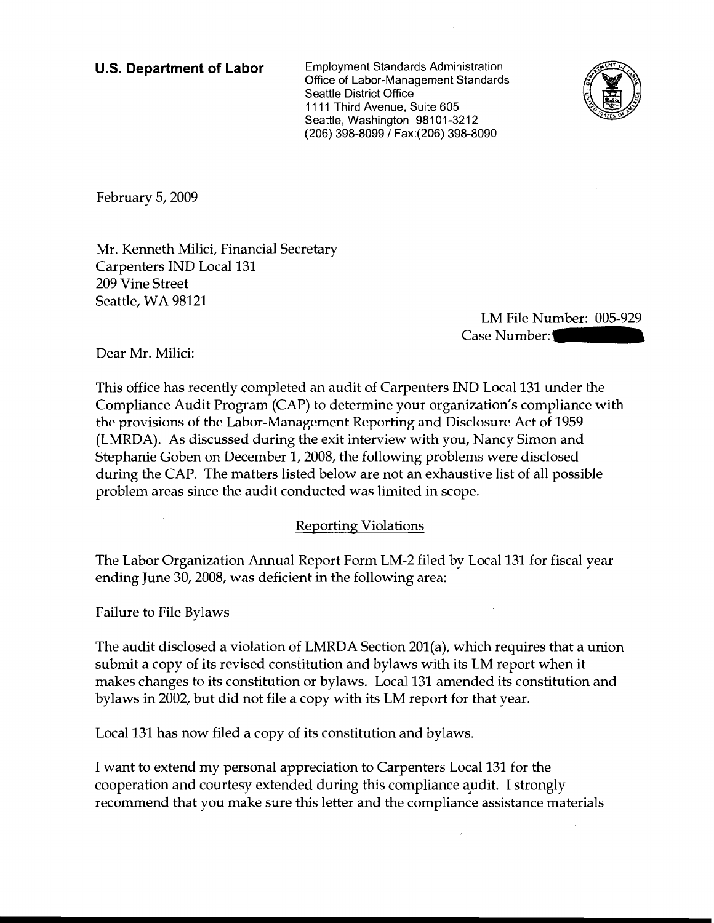**U.S. Department of Labor** Employment Standards Administration Office of Labor-Management Standards Seattle District Office 1111 Third Avenue, Suite 605 Seattle, Washington 98101-3212 (206) 398-8099/ Fax:(206) 398-8090



February 5, 2009

Mr. Kenneth Milici, Financial Secretary Carpenters IND Local 131 209 Vine Street Seattle, WA 98121

LM File Number: 005-929 Case Number:

Dear Mr. Milici:

This office has recently completed an audit of Carpenters IND Local 131 under the Compliance Audit Program (CAP) to determine your organization's compliance with the provisions of the Labor-Management Reporting and Disclosure Act of 1959 (LMRDA). As discussed during the exit interview with you, Nancy Simon and Stephanie Goben on December I, 2008, the following problems were disclosed during the CAP. The matters listed below are not an exhaustive list of all possible problem areas since the audit conducted was limited in scope.

## Reporting Violations

The Labor Organization Annual Report Form LM-2 filed by Local 131 for fiscal year ending June 30, 2008, was deficient in the following area:

Failure to File Bylaws

The audit disclosed a violation of LMRDA Section 201(a), which requires that a union submit a copy of its revised constitution and bylaws with its LM report when it makes changes to its constitution or bylaws. Local 131 amended its constitution and bylaws in 2002, but did not file a copy with its LM report for that year.

Local 131 has now filed a copy of its constitution and bylaws.

I want to extend my personal appreciation to Carpenters Local 131 for the cooperation and courtesy extended during this compliance audit. I strongly recommend that you make sure this letter and the compliance assistance materials